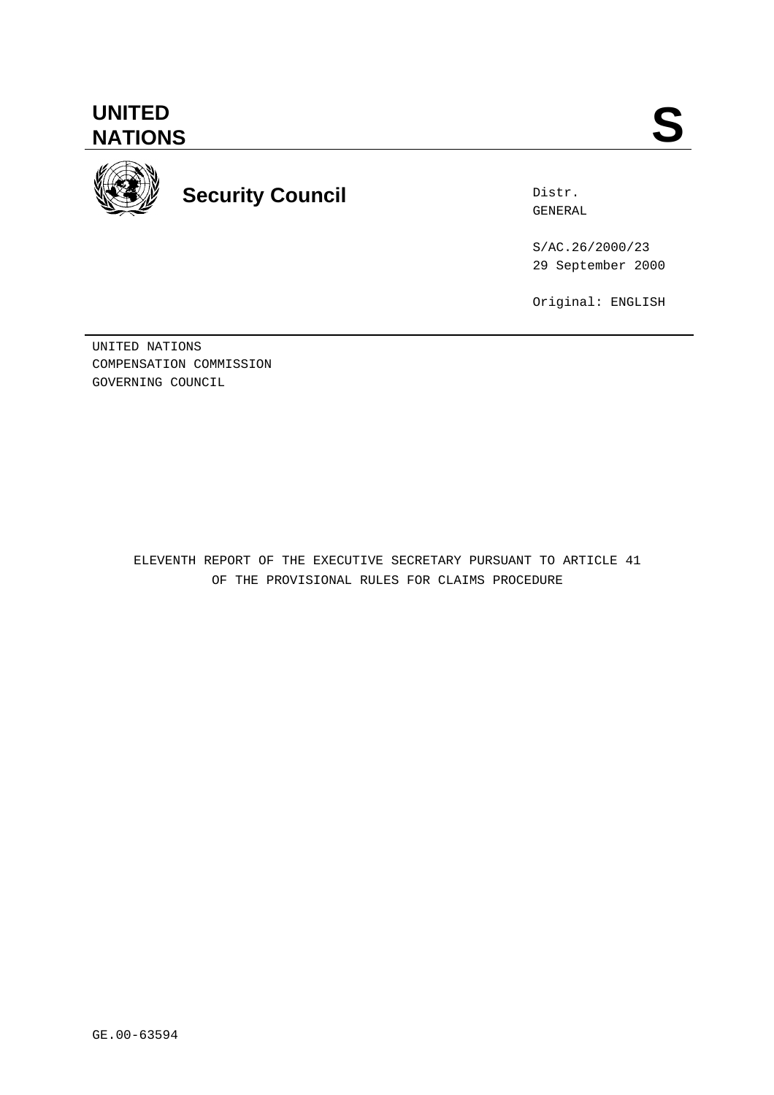

**Security Council**

Distr. GENERAL

S/AC.26/2000/23 29 September 2000

Original: ENGLISH

UNITED NATIONS COMPENSATION COMMISSION GOVERNING COUNCIL

> ELEVENTH REPORT OF THE EXECUTIVE SECRETARY PURSUANT TO ARTICLE 41 OF THE PROVISIONAL RULES FOR CLAIMS PROCEDURE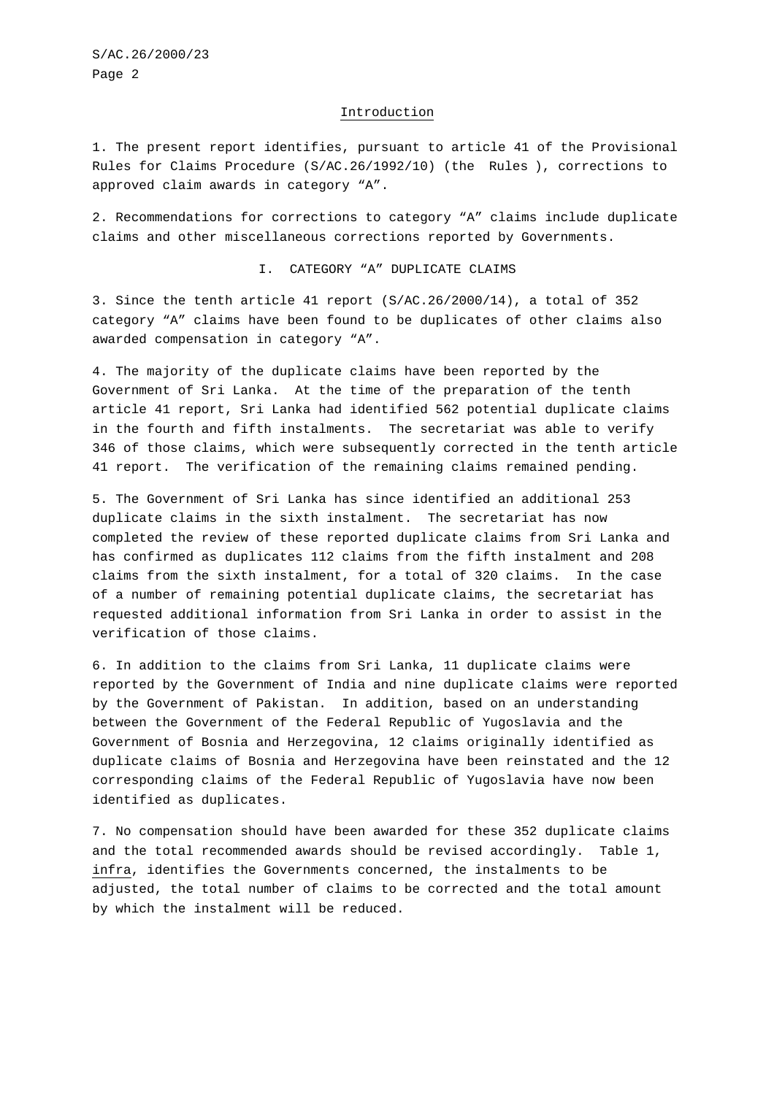#### Introduction

1. The present report identifies, pursuant to article 41 of the Provisional Rules for Claims Procedure (S/AC.26/1992/10) (the Rules ), corrections to approved claim awards in category "A".

2. Recommendations for corrections to category "A" claims include duplicate claims and other miscellaneous corrections reported by Governments.

I. CATEGORY "A" DUPLICATE CLAIMS

3. Since the tenth article 41 report (S/AC.26/2000/14), a total of 352 category "A" claims have been found to be duplicates of other claims also awarded compensation in category "A".

4. The majority of the duplicate claims have been reported by the Government of Sri Lanka. At the time of the preparation of the tenth article 41 report, Sri Lanka had identified 562 potential duplicate claims in the fourth and fifth instalments. The secretariat was able to verify 346 of those claims, which were subsequently corrected in the tenth article 41 report. The verification of the remaining claims remained pending.

5. The Government of Sri Lanka has since identified an additional 253 duplicate claims in the sixth instalment. The secretariat has now completed the review of these reported duplicate claims from Sri Lanka and has confirmed as duplicates 112 claims from the fifth instalment and 208 claims from the sixth instalment, for a total of 320 claims. In the case of a number of remaining potential duplicate claims, the secretariat has requested additional information from Sri Lanka in order to assist in the verification of those claims.

6. In addition to the claims from Sri Lanka, 11 duplicate claims were reported by the Government of India and nine duplicate claims were reported by the Government of Pakistan. In addition, based on an understanding between the Government of the Federal Republic of Yugoslavia and the Government of Bosnia and Herzegovina, 12 claims originally identified as duplicate claims of Bosnia and Herzegovina have been reinstated and the 12 corresponding claims of the Federal Republic of Yugoslavia have now been identified as duplicates.

7. No compensation should have been awarded for these 352 duplicate claims and the total recommended awards should be revised accordingly. Table 1, infra, identifies the Governments concerned, the instalments to be adjusted, the total number of claims to be corrected and the total amount by which the instalment will be reduced.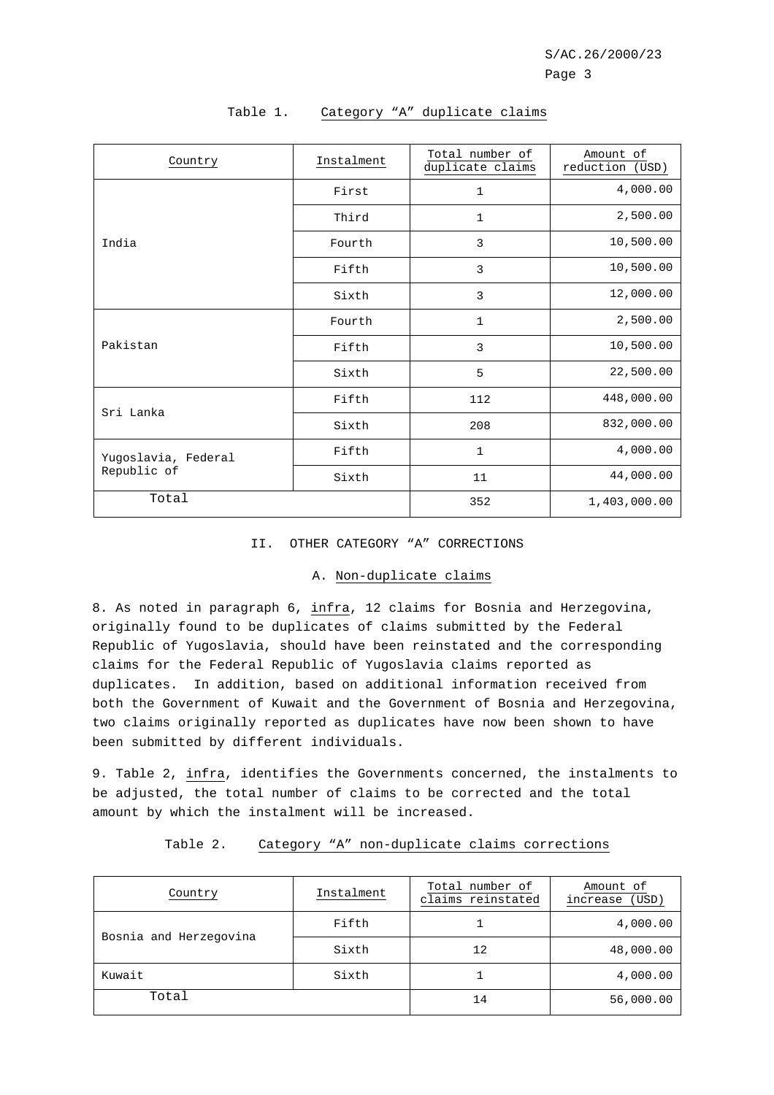| Country                            | Instalment | Total number of<br>duplicate claims | Amount of<br>reduction<br>(USD) |
|------------------------------------|------------|-------------------------------------|---------------------------------|
|                                    | First      | 1                                   | 4,000.00                        |
|                                    | Third      | 1                                   | 2,500.00                        |
| India                              | Fourth     | 3                                   | 10,500.00                       |
|                                    | Fifth      | 3                                   | 10,500.00                       |
|                                    | Sixth      | 3                                   | 12,000.00                       |
| Pakistan                           | Fourth     | $\mathbf{1}$                        | 2,500.00                        |
|                                    | Fifth      | 3                                   | 10,500.00                       |
|                                    | Sixth      | 5                                   | 22,500.00                       |
| Sri Lanka                          | Fifth      | 112                                 | 448,000.00                      |
|                                    | Sixth      | 208                                 | 832,000.00                      |
| Yugoslavia, Federal<br>Republic of | Fifth      | $\mathbf{1}$                        | 4,000.00                        |
|                                    | Sixth      | 11                                  | 44,000.00                       |
| Total                              |            | 352                                 | 1,403,000.00                    |

# Table 1. Category "A" duplicate claims

## II. OTHER CATEGORY "A" CORRECTIONS

## A. Non-duplicate claims

8. As noted in paragraph 6, infra, 12 claims for Bosnia and Herzegovina, originally found to be duplicates of claims submitted by the Federal Republic of Yugoslavia, should have been reinstated and the corresponding claims for the Federal Republic of Yugoslavia claims reported as duplicates. In addition, based on additional information received from both the Government of Kuwait and the Government of Bosnia and Herzegovina, two claims originally reported as duplicates have now been shown to have been submitted by different individuals.

9. Table 2, infra, identifies the Governments concerned, the instalments to be adjusted, the total number of claims to be corrected and the total amount by which the instalment will be increased.

| Table 2. |  |  | Category "A" non-duplicate claims corrections |  |  |
|----------|--|--|-----------------------------------------------|--|--|
|----------|--|--|-----------------------------------------------|--|--|

| Country                | Instalment | Total number of<br>claims reinstated | Amount of<br>(USD)<br>increase |
|------------------------|------------|--------------------------------------|--------------------------------|
|                        | Fifth      |                                      | 4,000.00                       |
| Bosnia and Herzegovina | Sixth      | 12                                   | 48,000.00                      |
| Kuwait                 | Sixth      |                                      | 4,000.00                       |
| Total                  |            | 14                                   | 56,000.00                      |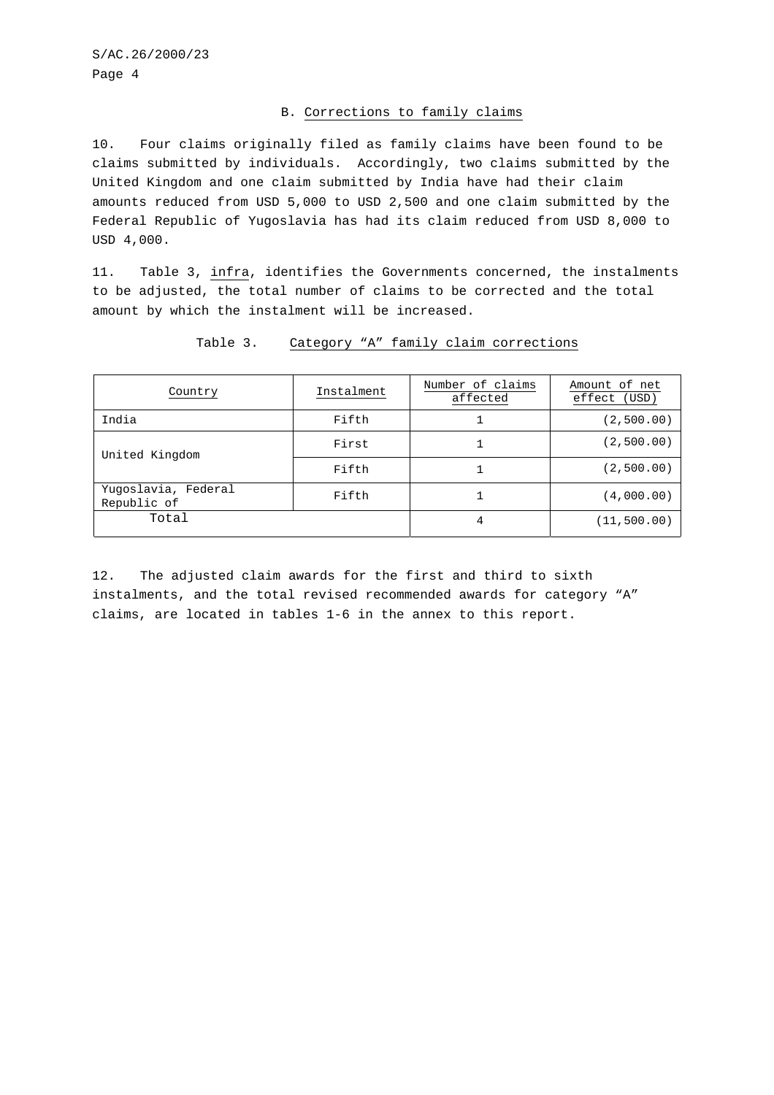# B. Corrections to family claims

10. Four claims originally filed as family claims have been found to be claims submitted by individuals. Accordingly, two claims submitted by the United Kingdom and one claim submitted by India have had their claim amounts reduced from USD 5,000 to USD 2,500 and one claim submitted by the Federal Republic of Yugoslavia has had its claim reduced from USD 8,000 to USD 4,000.

11. Table 3, infra, identifies the Governments concerned, the instalments to be adjusted, the total number of claims to be corrected and the total amount by which the instalment will be increased.

| Country                            | Instalment | Number of claims<br>affected | Amount of net<br>effect<br>(USD) |
|------------------------------------|------------|------------------------------|----------------------------------|
| India                              | Fifth      |                              | (2,500.00)                       |
| United Kingdom                     | First      |                              | (2,500.00)                       |
|                                    | Fifth      |                              | (2,500.00)                       |
| Yugoslavia, Federal<br>Republic of | Fifth      |                              | (4,000.00)                       |
| Total                              |            |                              | (11, 500.00)                     |

## Table 3. Category "A" family claim corrections

12. The adjusted claim awards for the first and third to sixth instalments, and the total revised recommended awards for category "A" claims, are located in tables 1-6 in the annex to this report.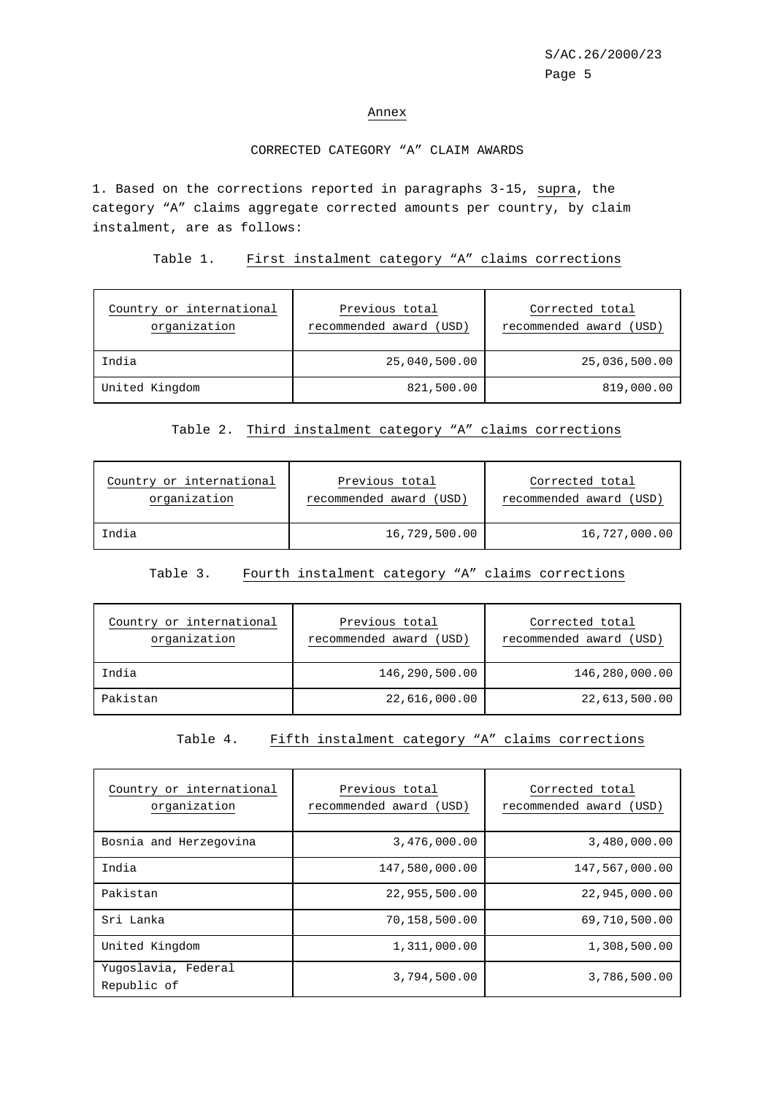#### Annex

# CORRECTED CATEGORY "A" CLAIM AWARDS

1. Based on the corrections reported in paragraphs 3-15, supra, the category "A" claims aggregate corrected amounts per country, by claim instalment, are as follows:

Table 1. First instalment category "A" claims corrections

| Country or international<br>organization | Previous total<br>recommended award (USD) | Corrected total<br>recommended award (USD) |
|------------------------------------------|-------------------------------------------|--------------------------------------------|
| India                                    | 25,040,500.00                             | 25,036,500.00                              |
| United Kingdom                           | 821,500.00                                | 819,000.00                                 |

# Table 2. Third instalment category "A" claims corrections

| Country or international | Previous total          | Corrected total         |
|--------------------------|-------------------------|-------------------------|
| organization             | recommended award (USD) | recommended award (USD) |
| India                    | 16,729,500.00           | 16,727,000.00           |

# Table 3. Fourth instalment category "A" claims corrections

| Country or international<br>organization | Previous total<br>recommended award (USD) | Corrected total<br>recommended award (USD) |
|------------------------------------------|-------------------------------------------|--------------------------------------------|
| India                                    | 146,290,500.00                            | 146,280,000.00                             |
| Pakistan                                 | 22,616,000.00                             | 22,613,500.00                              |

Table 4. Fifth instalment category "A" claims corrections

| Country or international<br>organization | Previous total<br>recommended award (USD) | Corrected total<br>recommended award (USD) |
|------------------------------------------|-------------------------------------------|--------------------------------------------|
| Bosnia and Herzegovina                   | 3,476,000.00                              | 3,480,000.00                               |
| India                                    | 147,580,000.00                            | 147,567,000.00                             |
| Pakistan                                 | 22,955,500.00                             | 22,945,000.00                              |
| Sri Lanka                                | 70,158,500.00                             | 69,710,500.00                              |
| United Kingdom                           | 1,311,000.00                              | 1,308,500.00                               |
| Yugoslavia, Federal<br>Republic of       | 3,794,500.00                              | 3,786,500.00                               |